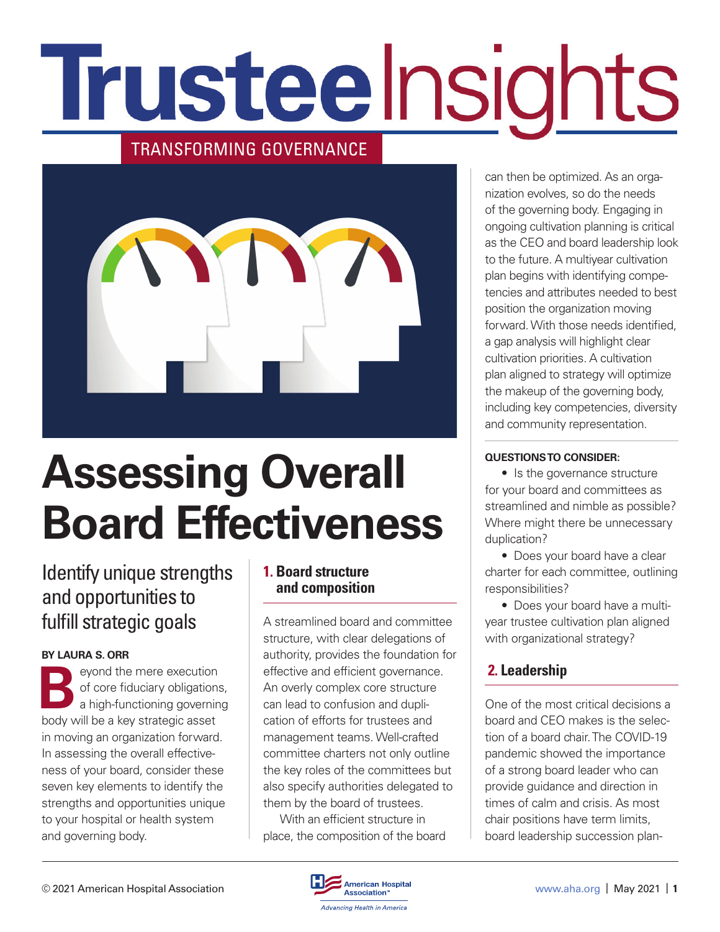# Trusteelnsights

#### TRANSFORMING GOVERNANCE



## **Assessing Overall Board Effectiveness**

#### Identify unique strengths and opportunities to fulfill strategic goals

#### **BY LAURA S. ORR**

**B**eyond the mere execution<br>of core fiduciary obligations<br>a high-functioning governing of core fiduciary obligations, a high-functioning governing body will be a key strategic asset in moving an organization forward. In assessing the overall effectiveness of your board, consider these seven key elements to identify the strengths and opportunities unique to your hospital or health system and governing body.

#### **1. Board structure and composition**

A streamlined board and committee structure, with clear delegations of authority, provides the foundation for effective and efficient governance. An overly complex core structure can lead to confusion and duplication of efforts for trustees and management teams. Well-crafted committee charters not only outline the key roles of the committees but also specify authorities delegated to them by the board of trustees.

With an efficient structure in place, the composition of the board can then be optimized. As an organization evolves, so do the needs of the governing body. Engaging in ongoing cultivation planning is critical as the CEO and board leadership look to the future. A multiyear cultivation plan begins with identifying competencies and attributes needed to best position the organization moving forward. With those needs identified, a gap analysis will highlight clear cultivation priorities. A cultivation plan aligned to strategy will optimize the makeup of the governing body, including key competencies, diversity and community representation.

#### **QUESTIONS TO CONSIDER:**

• Is the governance structure for your board and committees as streamlined and nimble as possible? Where might there be unnecessary duplication?

• Does your board have a clear charter for each committee, outlining responsibilities?

• Does your board have a multiyear trustee cultivation plan aligned with organizational strategy?

#### **2. Leadership**

One of the most critical decisions a board and CEO makes is the selection of a board chair. The COVID-19 pandemic showed the importance of a strong board leader who can provide guidance and direction in times of calm and crisis. As most chair positions have term limits, board leadership succession plan-

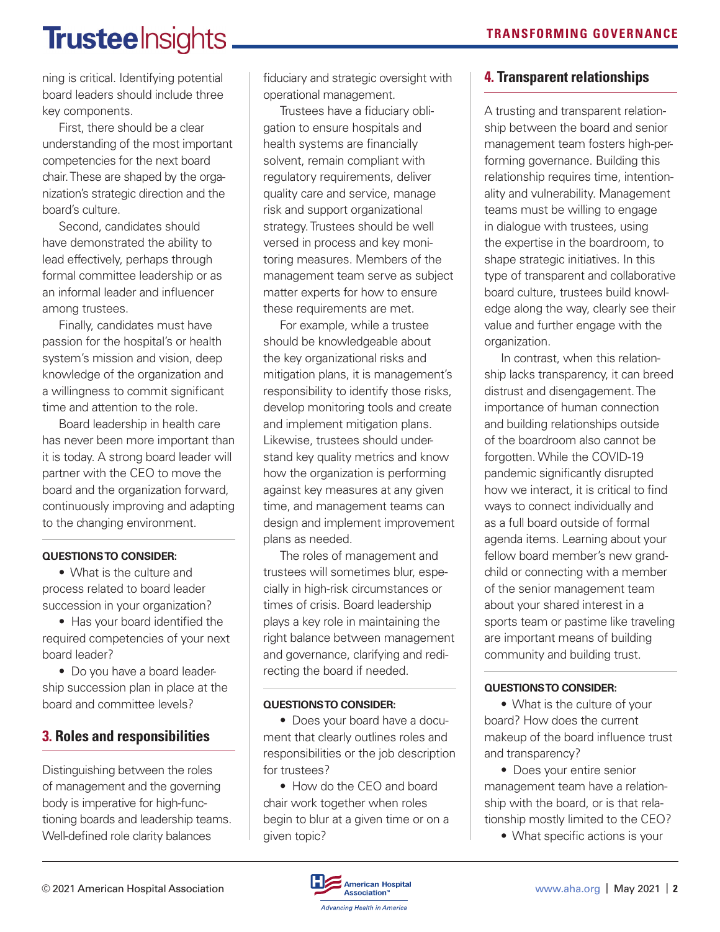### **Trustee** Insights

ning is critical. Identifying potential board leaders should include three key components.

First, there should be a clear understanding of the most important competencies for the next board chair. These are shaped by the organization's strategic direction and the board's culture.

Second, candidates should have demonstrated the ability to lead effectively, perhaps through formal committee leadership or as an informal leader and influencer among trustees.

Finally, candidates must have passion for the hospital's or health system's mission and vision, deep knowledge of the organization and a willingness to commit significant time and attention to the role.

Board leadership in health care has never been more important than it is today. A strong board leader will partner with the CEO to move the board and the organization forward, continuously improving and adapting to the changing environment.

#### **QUESTIONS TO CONSIDER:**

• What is the culture and process related to board leader succession in your organization?

• Has your board identified the required competencies of your next board leader?

• Do you have a board leadership succession plan in place at the board and committee levels?

#### **3. Roles and responsibilities**

Distinguishing between the roles of management and the governing body is imperative for high-functioning boards and leadership teams. Well-defined role clarity balances

fiduciary and strategic oversight with operational management.

Trustees have a fiduciary obligation to ensure hospitals and health systems are financially solvent, remain compliant with regulatory requirements, deliver quality care and service, manage risk and support organizational strategy. Trustees should be well versed in process and key monitoring measures. Members of the management team serve as subject matter experts for how to ensure these requirements are met.

For example, while a trustee should be knowledgeable about the key organizational risks and mitigation plans, it is management's responsibility to identify those risks, develop monitoring tools and create and implement mitigation plans. Likewise, trustees should understand key quality metrics and know how the organization is performing against key measures at any given time, and management teams can design and implement improvement plans as needed.

The roles of management and trustees will sometimes blur, especially in high-risk circumstances or times of crisis. Board leadership plays a key role in maintaining the right balance between management and governance, clarifying and redirecting the board if needed.

#### **QUESTIONS TO CONSIDER:**

• Does your board have a document that clearly outlines roles and responsibilities or the job description for trustees?

• How do the CEO and board chair work together when roles begin to blur at a given time or on a given topic?

#### **4. Transparent relationships**

A trusting and transparent relationship between the board and senior management team fosters high-performing governance. Building this relationship requires time, intentionality and vulnerability. Management teams must be willing to engage in dialogue with trustees, using the expertise in the boardroom, to shape strategic initiatives. In this type of transparent and collaborative board culture, trustees build knowledge along the way, clearly see their value and further engage with the organization.

In contrast, when this relationship lacks transparency, it can breed distrust and disengagement. The importance of human connection and building relationships outside of the boardroom also cannot be forgotten. While the COVID-19 pandemic significantly disrupted how we interact, it is critical to find ways to connect individually and as a full board outside of formal agenda items. Learning about your fellow board member's new grandchild or connecting with a member of the senior management team about your shared interest in a sports team or pastime like traveling are important means of building community and building trust.

#### **QUESTIONS TO CONSIDER:**

• What is the culture of your board? How does the current makeup of the board influence trust and transparency?

• Does your entire senior management team have a relationship with the board, or is that relationship mostly limited to the CEO?

• What specific actions is your